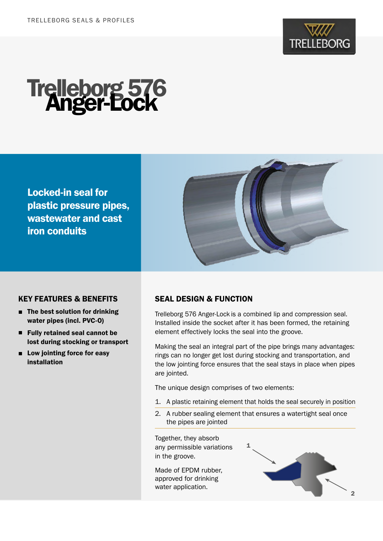



Locked-in seal for plastic pressure pipes, wastewater and cast iron conduits



### KEY FEATURES & BENEFITS

- The best solution for drinking water pipes (incl. PVC-O)
- Fully retained seal cannot be lost during stocking or transport
- Low jointing force for easy installation

### SEAL DESIGN & FUNCTION

Trelleborg 576 Anger-Lock is a combined lip and compression seal. Installed inside the socket after it has been formed, the retaining element effectively locks the seal into the groove.

Making the seal an integral part of the pipe brings many advantages: rings can no longer get lost during stocking and transportation, and the low jointing force ensures that the seal stays in place when pipes are jointed.

The unique design comprises of two elements:

- 1. A plastic retaining element that holds the seal securely in position
- 2. A rubber sealing element that ensures a watertight seal once the pipes are jointed

Together, they absorb any permissible variations in the groove.

Made of EPDM rubber, approved for drinking water application.